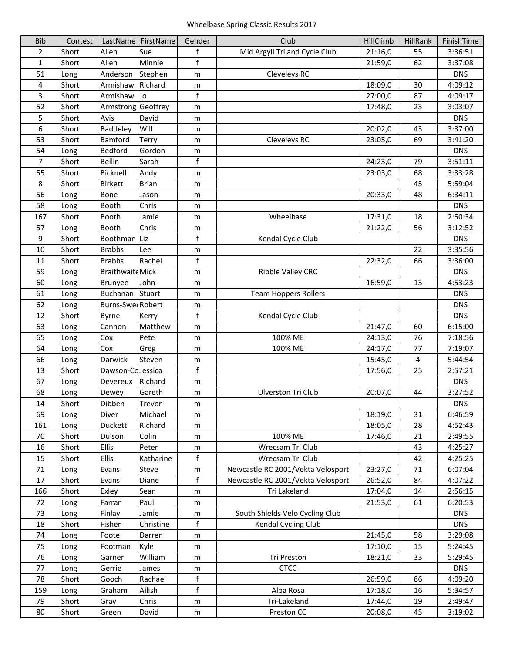| <b>Bib</b>     | Contest |                          | LastName   FirstName | Gender       | Club                              | HillClimb | HillRank | FinishTime |
|----------------|---------|--------------------------|----------------------|--------------|-----------------------------------|-----------|----------|------------|
| 2              | Short   | Allen                    | Sue                  | f            | Mid Argyll Tri and Cycle Club     | 21:16,0   | 55       | 3:36:51    |
| 1              | Short   | Allen                    | Minnie               | f            |                                   | 21:59,0   | 62       | 3:37:08    |
| 51             | Long    | Anderson                 | Stephen              | m            | Cleveleys RC                      |           |          | <b>DNS</b> |
| 4              | Short   | Armishaw                 | Richard              | m            |                                   | 18:09,0   | 30       | 4:09:12    |
| 3              | Short   | Armishaw                 | Jo                   | $\mathsf f$  |                                   | 27:00,0   | 87       | 4:09:17    |
| 52             | Short   | Armstrong                | Geoffrey             | m            |                                   | 17:48,0   | 23       | 3:03:07    |
| 5              | Short   | Avis                     | David                | m            |                                   |           |          | <b>DNS</b> |
| 6              | Short   | Baddeley                 | Will                 | m            |                                   | 20:02,0   | 43       | 3:37:00    |
| 53             | Short   | Bamford                  | <b>Terry</b>         | m            | Cleveleys RC                      | 23:05,0   | 69       | 3:41:20    |
| 54             | Long    | Bedford                  | Gordon               | m            |                                   |           |          | <b>DNS</b> |
| $\overline{7}$ | Short   | <b>Bellin</b>            | Sarah                | $\mathsf f$  |                                   | 24:23,0   | 79       | 3:51:11    |
| 55             | Short   | Bicknell                 | Andy                 | m            |                                   | 23:03,0   | 68       | 3:33:28    |
| 8              | Short   | <b>Birkett</b>           | <b>Brian</b>         | m            |                                   |           | 45       | 5:59:04    |
| 56             | Long    | Bone                     | Jason                | m            |                                   | 20:33,0   | 48       | 6:34:11    |
| 58             | Long    | Booth                    | Chris                | m            |                                   |           |          | <b>DNS</b> |
| 167            | Short   | Booth                    | Jamie                | m            | Wheelbase                         | 17:31,0   | 18       | 2:50:34    |
| 57             | Long    | Booth                    | Chris                | m            |                                   | 21:22,0   | 56       | 3:12:52    |
| 9              | Short   | Boothman                 | Liz                  | $\mathsf f$  | Kendal Cycle Club                 |           |          | <b>DNS</b> |
| 10             | Short   | <b>Brabbs</b>            | Lee                  | m            |                                   |           | 22       | 3:35:56    |
| 11             | Short   | <b>Brabbs</b>            | Rachel               | $\mathsf f$  |                                   | 22:32,0   | 66       | 3:36:00    |
| 59             | Long    | <b>Braithwaite Mick</b>  |                      | m            | Ribble Valley CRC                 |           |          | <b>DNS</b> |
| 60             | Long    | <b>Brunyee</b>           | John                 | m            |                                   | 16:59,0   | 13       | 4:53:23    |
| 61             | Long    | Buchanan                 | Stuart               | m            | <b>Team Hoppers Rollers</b>       |           |          | <b>DNS</b> |
| 62             | Long    | <b>Burns-Swee Robert</b> |                      | m            |                                   |           |          | <b>DNS</b> |
| 12             | Short   | Byrne                    | Kerry                | $\mathsf f$  | Kendal Cycle Club                 |           |          | <b>DNS</b> |
| 63             | Long    | Cannon                   | Matthew              | m            |                                   | 21:47,0   | 60       | 6:15:00    |
| 65             | Long    | Cox                      | Pete                 | m            | 100% ME                           | 24:13,0   | 76       | 7:18:56    |
| 64             | Long    | Cox                      | Greg                 | m            | 100% ME                           | 24:17,0   | 77       | 7:19:07    |
| 66             | Long    | Darwick                  | Steven               | m            |                                   | 15:45,0   | 4        | 5:44:54    |
| 13             | Short   | Dawson-CoJessica         |                      | $\mathsf f$  |                                   | 17:56,0   | 25       | 2:57:21    |
| 67             | Long    | Devereux                 | Richard              | m            |                                   |           |          | <b>DNS</b> |
| 68             | Long    | Dewey                    | Gareth               | m            | <b>Ulverston Tri Club</b>         | 20:07,0   | 44       | 3:27:52    |
| 14             | Short   | Dibben                   | Trevor               | m            |                                   |           |          | <b>DNS</b> |
| 69             | Long    | Diver                    | Michael              | m            |                                   | 18:19,0   | 31       | 6:46:59    |
| 161            | Long    | Duckett                  | Richard              | m            |                                   | 18:05,0   | 28       | 4:52:43    |
| 70             | Short   | Dulson                   | Colin                | m            | 100% ME                           | 17:46,0   | 21       | 2:49:55    |
| 16             | Short   | <b>Ellis</b>             | Peter                | m            | Wrecsam Tri Club                  |           | 43       | 4:25:27    |
| 15             | Short   | <b>Ellis</b>             | Katharine            | f            | Wrecsam Tri Club                  |           | 42       | 4:25:25    |
| $71\,$         | Long    | Evans                    | Steve                | m            | Newcastle RC 2001/Vekta Velosport | 23:27,0   | 71       | 6:07:04    |
| 17             | Short   | Evans                    | Diane                | f            | Newcastle RC 2001/Vekta Velosport | 26:52,0   | 84       | 4:07:22    |
| 166            | Short   | Exley                    | Sean                 | m            | Tri Lakeland                      | 17:04,0   | 14       | 2:56:15    |
| 72             | Long    | Farrar                   | Paul                 | m            |                                   | 21:53,0   | 61       | 6:20:53    |
| 73             | Long    | Finlay                   | Jamie                | m            | South Shields Velo Cycling Club   |           |          | <b>DNS</b> |
| 18             | Short   | Fisher                   | Christine            | f            | Kendal Cycling Club               |           |          | <b>DNS</b> |
| 74             | Long    | Foote                    | Darren               | m            |                                   | 21:45,0   | 58       | 3:29:08    |
| 75             | Long    | Footman                  | Kyle                 | m            |                                   | 17:10,0   | 15       | 5:24:45    |
| 76             | Long    | Garner                   | William              | m            | Tri Preston                       | 18:21,0   | 33       | 5:29:45    |
| 77             | Long    | Gerrie                   | James                | m            | <b>CTCC</b>                       |           |          | <b>DNS</b> |
| 78             | Short   | Gooch                    | Rachael              | $\mathsf{f}$ |                                   | 26:59,0   | 86       | 4:09:20    |
| 159            | Long    | Graham                   | Ailish               | $\mathsf f$  | Alba Rosa                         | 17:18,0   | 16       | 5:34:57    |
| 79             | Short   | Gray                     | Chris                | m            | Tri-Lakeland                      | 17:44,0   | 19       | 2:49:47    |
| 80             | Short   | Green                    | David                | m            | Preston CC                        | 20:08,0   | 45       | 3:19:02    |
|                |         |                          |                      |              |                                   |           |          |            |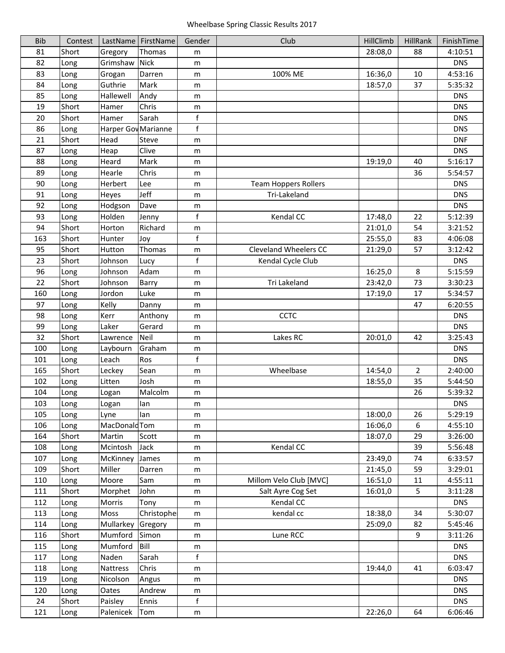| <b>Bib</b> | Contest      |                            | LastName   FirstName | Gender           | Club                        | HillClimb | HillRank       | FinishTime |
|------------|--------------|----------------------------|----------------------|------------------|-----------------------------|-----------|----------------|------------|
| 81         | Short        | Gregory                    | Thomas               | m                |                             | 28:08,0   | 88             | 4:10:51    |
| 82         | Long         | Grimshaw                   | <b>Nick</b>          | m                |                             |           |                | <b>DNS</b> |
| 83         | Long         | Grogan                     | Darren               | m                | 100% ME                     | 16:36,0   | 10             | 4:53:16    |
| 84         | Long         | Guthrie                    | Mark                 | m                |                             | 18:57,0   | 37             | 5:35:32    |
| 85         | Long         | Hallewell                  | Andy                 | m                |                             |           |                | <b>DNS</b> |
| 19         | Short        | Hamer                      | Chris                | m                |                             |           |                | <b>DNS</b> |
| 20         | Short        | Hamer                      | Sarah                | $\mathsf f$      |                             |           |                | <b>DNS</b> |
| 86         | Long         | <b>Harper Gov Marianne</b> |                      | $\sf f$          |                             |           |                | <b>DNS</b> |
| 21         | Short        | Head                       | Steve                | m                |                             |           |                | <b>DNF</b> |
| 87         | Long         | Heap                       | Clive                | m                |                             |           |                | <b>DNS</b> |
| 88         | Long         | Heard                      | Mark                 | m                |                             | 19:19,0   | 40             | 5:16:17    |
| 89         | Long         | Hearle                     | Chris                | m                |                             |           | 36             | 5:54:57    |
| 90         | Long         | Herbert                    | Lee                  | m                | <b>Team Hoppers Rollers</b> |           |                | <b>DNS</b> |
| 91         | Long         | Heyes                      | Jeff                 | m                | Tri-Lakeland                |           |                | <b>DNS</b> |
| 92         | Long         | Hodgson                    | Dave                 | m                |                             |           |                | <b>DNS</b> |
| 93         | Long         | Holden                     | Jenny                | $\mathsf f$      | Kendal CC                   | 17:48,0   | 22             | 5:12:39    |
| 94         | Short        | Horton                     | Richard              | m                |                             | 21:01,0   | 54             | 3:21:52    |
| 163        | Short        | Hunter                     | Joy                  | $\sf f$          |                             | 25:55,0   | 83             | 4:06:08    |
| 95         | Short        | Hutton                     | Thomas               | m                | Cleveland Wheelers CC       | 21:29,0   | 57             | 3:12:42    |
| 23         | Short        | Johnson                    | Lucy                 | $\mathsf f$      | Kendal Cycle Club           |           |                | <b>DNS</b> |
| 96         | Long         | Johnson                    | Adam                 | m                |                             | 16:25,0   | 8              | 5:15:59    |
| 22         | Short        | Johnson                    | Barry                | m                | Tri Lakeland                | 23:42,0   | 73             | 3:30:23    |
| 160        | Long         | Jordon                     | Luke                 | m                |                             | 17:19,0   | 17             | 5:34:57    |
| 97         | Long         | Kelly                      | Danny                | m                |                             |           | 47             | 6:20:55    |
| 98         | Long         | Kerr                       | Anthony              | m                | <b>CCTC</b>                 |           |                | <b>DNS</b> |
| 99         | Long         | Laker                      | Gerard               | m                |                             |           |                | <b>DNS</b> |
| 32         | Short        | Lawrence                   | Neil                 | m                | Lakes RC                    | 20:01,0   | 42             | 3:25:43    |
| 100        | Long         | Laybourn                   | Graham               | m                |                             |           |                | <b>DNS</b> |
| 101        | Long         | Leach                      | Ros                  | $\mathsf f$      |                             |           |                | <b>DNS</b> |
| 165        | Short        | Leckey                     | Sean                 | m                | Wheelbase                   | 14:54,0   | $\overline{2}$ | 2:40:00    |
| 102        | Long         | Litten                     | Josh                 | m                |                             | 18:55,0   | 35             | 5:44:50    |
| 104        | Long         | Logan                      | Malcolm              | m                |                             |           | 26             | 5:39:32    |
| 103        | Long         | Logan                      | lan                  | m                |                             |           |                | <b>DNS</b> |
| 105        | Long         | Lyne                       | lan                  | m                |                             | 18:00,0   | 26             | 5:29:19    |
| 106        | Long         | MacDonald Tom              |                      |                  |                             | 16:06,0   | 6              | 4:55:10    |
| 164        | Short        | Martin                     | Scott                | m<br>m           |                             | 18:07,0   | 29             | 3:26:00    |
| 108        |              | Mcintosh                   | Jack                 |                  | Kendal CC                   |           | 39             | 5:56:48    |
| 107        | Long<br>Long | McKinney                   | James                | m                |                             | 23:49,0   | 74             | 6:33:57    |
| 109        | Short        | Miller                     | Darren               | m<br>m           |                             | 21:45,0   | 59             | 3:29:01    |
| 110        | Long         | Moore                      | Sam                  | m                | Millom Velo Club [MVC]      | 16:51,0   | 11             | 4:55:11    |
| 111        | Short        | Morphet                    | John                 | m                | Salt Ayre Cog Set           | 16:01,0   | 5              | 3:11:28    |
| 112        | Long         | Morris                     | Tony                 | m                | Kendal CC                   |           |                | <b>DNS</b> |
| 113        | Long         | Moss                       | Christophe           | m                | kendal cc                   | 18:38,0   | 34             | 5:30:07    |
| 114        | Long         | Mullarkey                  | Gregory              | m                |                             | 25:09,0   | 82             | 5:45:46    |
| 116        | Short        | Mumford                    | Simon                | m                | Lune RCC                    |           | 9              | 3:11:26    |
| 115        |              | Mumford                    | Bill                 |                  |                             |           |                | <b>DNS</b> |
| 117        | Long<br>Long | Naden                      | Sarah                | m<br>$\mathsf f$ |                             |           |                | <b>DNS</b> |
| 118        | Long         | Nattress                   | Chris                |                  |                             | 19:44,0   | 41             | 6:03:47    |
| 119        | Long         | Nicolson                   | Angus                | m<br>m           |                             |           |                | <b>DNS</b> |
| 120        | Long         | Oates                      | Andrew               | ${\sf m}$        |                             |           |                | <b>DNS</b> |
| 24         | Short        | Paisley                    | Ennis                | f                |                             |           |                | <b>DNS</b> |
| 121        | Long         | Palenicek                  | Tom                  | m                |                             | 22:26,0   | 64             | 6:06:46    |
|            |              |                            |                      |                  |                             |           |                |            |